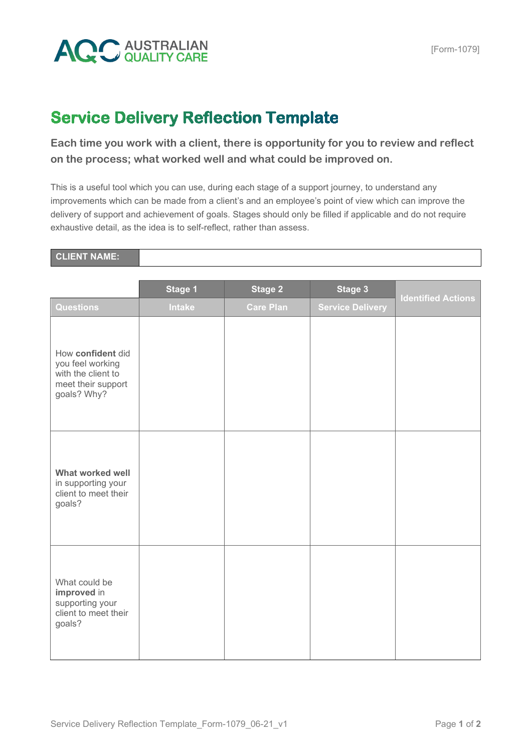

## **Service Delivery Reflection Template**

**Each time you work with a client, there is opportunity for you to review and reflect on the process; what worked well and what could be improved on.** 

This is a useful tool which you can use, during each stage of a support journey, to understand any improvements which can be made from a client's and an employee's point of view which can improve the delivery of support and achievement of goals. Stages should only be filled if applicable and do not require exhaustive detail, as the idea is to self-reflect, rather than assess.

## **CLIENT NAME:**

|                                                                                                  | Stage 1       | <b>Stage 2</b>   | <b>Stage 3</b>          |                           |
|--------------------------------------------------------------------------------------------------|---------------|------------------|-------------------------|---------------------------|
| <b>Questions</b>                                                                                 | <b>Intake</b> | <b>Care Plan</b> | <b>Service Delivery</b> | <b>Identified Actions</b> |
| How confident did<br>you feel working<br>with the client to<br>meet their support<br>goals? Why? |               |                  |                         |                           |
| What worked well<br>in supporting your<br>client to meet their<br>goals?                         |               |                  |                         |                           |
| What could be<br>improved in<br>supporting your<br>client to meet their<br>goals?                |               |                  |                         |                           |